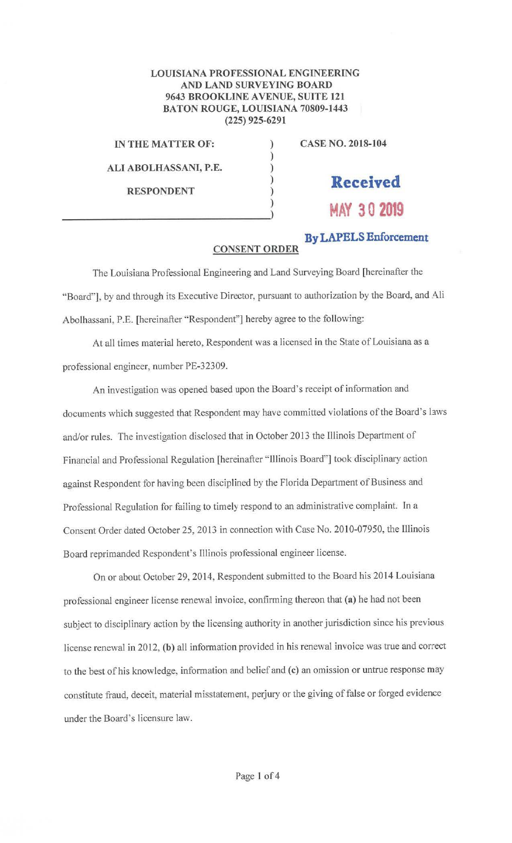## **LOUISIANA PROFESSIONAL ENGINEERING AND LAND SURVEYING BOARD 9643 BROOKLINE A VENUE, SUITE 121 BATON ROUGE, LOUISIANA 70809-1443 (225) 925-6291**

) ) ) ) ) )

**IN THE MATTER OF:** 

**ALI ABOLHASSANI, P.E.** 

**RESPONDENT** 

**CASE NO. 2018-104** 

## **Received**

**MAY 3 0 2019** 

**By LAPELS Enforcement** 

## **CONSENT ORDER**

The Louisiana Professional Engineering and Land Surveying Board [hereinafter the "Board"], by and through its Executive Director, pursuant to authorization by the Board, and Ali Abolhassani, P.E. [hereinafter "Respondent"] hereby agree to the following:

At all times material hereto, Respondent was a licensed in the State of Louisiana as a professional engineer, number PE-32309.

An investigation was opened based upon the Board's receipt of information and documents which suggested that Respondent may have committed violations of the Board's laws and/or rules. The investigation disclosed that in October 2013 the Illinois Department of Financial and Professional Regulation [hereinafter " Illinois Board"] took disciplinary action against Respondent for having been disciplined by the Florida Department of Business and Professional Regulation for failing to timely respond to an administrative complaint. In a Consent Order dated October 25, 2013 in connection with Case No. 2010-07950, the Illinois Board reprimanded Respondent's Illinois professional engineer license.

On or about October 29, 2014, Respondent submitted to the Board his 2014 Louisiana professional engineer license renewal invoice, confirming thereon that **(a)** he had not been subject to disciplinary action by the licensing authority in another jurisdiction since his previous license renewal in 2012, **(b)** all information provided in his renewal invoice was true and correct to the best of his knowledge, information and belief and **(c)** an omission or untrue response may constitute fraud, deceit, material misstatement, perjury or the giving of false or forged evidence under the Board's licensure law.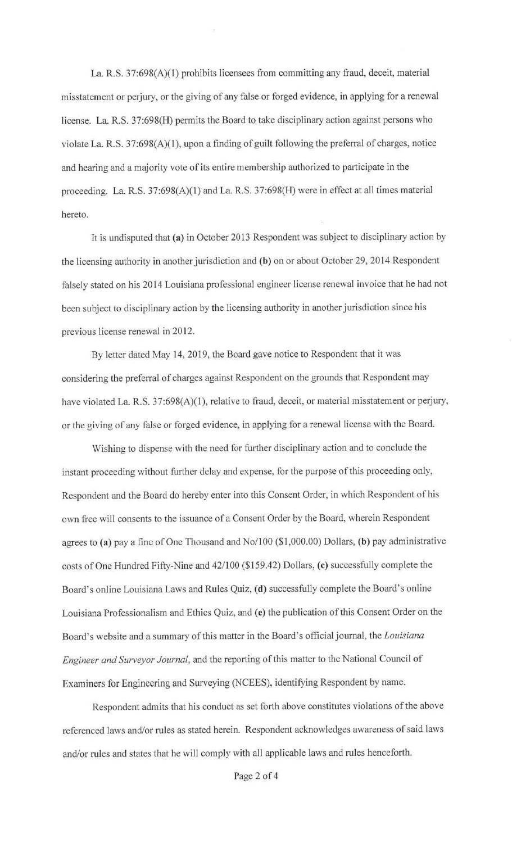La R.S. 37:698(A)(l) prohibits licensees from committing any fraud, deceit, material misstatement or perjury, or the giving of any false or forged evidence, in applying for a renewal license. La. R.S. 37:698(H) permits the Board to take disciplinary action against persons who violate La. R.S. 37:698(A)(l), upon a finding of guilt following the preferral of charges, notice and hearing and a majority vote of its entire membership authorized to participate in the proceeding. La. R.S. 37:698(A)(l) and La. R.S. 37:698(H) were in effect at all times material hereto.

It is undisputed that **(a)** *in* October 2013 Respondent was subject to disciplinary actior: by the licensing authority in another jurisdiction and (b) on or about October 29, 2014 Respondent falsely stated on his 2014 Louisiana professional engineer license renewal invoice that he had not been subject to disciplinary action by the licensing authority in another jurisdiction since his previous license renewal in 2012.

By letter dated May 14, 2019, the Board gave notice to Respondent that it was considering the preferral of charges against Respondent on the grounds that Respondent may have violated La. R.S. 37:698(A)(1), relative to fraud, deceit, or material misstatement or perjury, or the giving of any false or forged evidence, in applying for a renewal license with the Board.

Wishing to dispense with the need for further disciplinary action and to conclude the instant proceeding without further delay and expense, for the purpose of this proceeding only, Respondent and the Board do hereby enter into this Consent Order, in which Respondent of his own free will consents to the issuance of a Consent Order by the Board, wherein Respondent agrees to **(a)** pay a fine of One Thousand and No/100 (\$1,000.00) Dollars, **(b)** pay administrative costs of One Hundred Fifty-Nine and 42/100 (\$159.42) Dollars, **(c)** successfully complete the Board's online Louisiana Laws and Rules Quiz, **(d)** successfully complete the Board's online Louisiana Professionalism and Ethics Quiz, and **(e)** the publication of this Consent Order on the Board's website and a summary of this matter in the Board's official journal, the *Louisiana Engineer and Surveyor Journal,* and the reporting of this matter to the National Council of Examiners for Engineering and Surveying (NCEES), identifying Respondent by name.

Respondent admits that his conduct as set forth above constitutes violations of the above referenced laws and/or rules as stated herein. Respondent acknowledges awareness of said laws and/or rules and states that he will comply with all applicable laws and rules henceforth.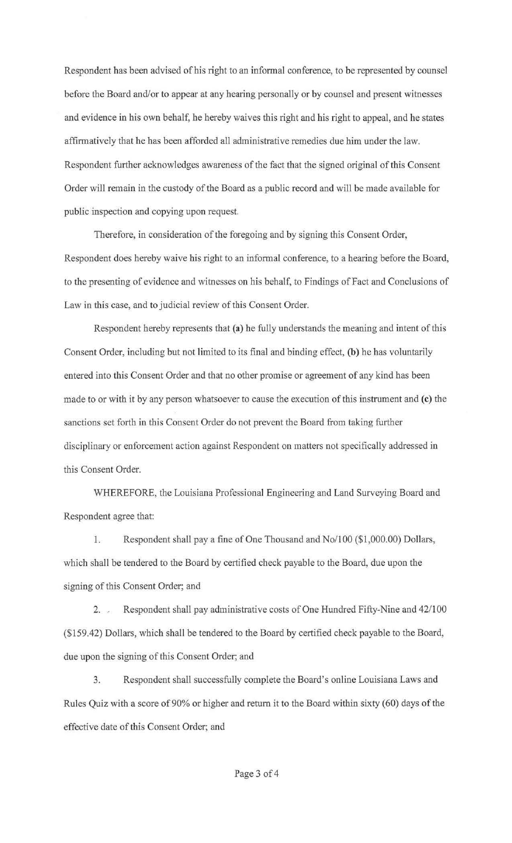Respondent has been advised of his right to an informal conference, to be represented by counsel before the Board and/or to appear at any hearing personally or by counsel and present witnesses and evidence in his own behalf, he hereby waives this right and his right to appeal, and he states affirmatively that he has been afforded all administrative remedies due him under the law. Respondent further acknowledges awareness of the fact that the signed original of this Consent Order will remain in the custody of the Board as a public record and will be made available for public inspection and copying upon request.

Therefore, in consideration of the foregoing and by signing this Consent Order, Respondent does hereby waive his right to an informal conference, to a hearing before the Board, to the presenting of evidence and witnesses on his behalf, to Findings of Fact and Conclusions of Law in this case, and to judicial review of this Consent Order.

Respondent hereby represents that **(a)** be fully understands the meaning and intent of this Consent Order, including but not limited to its final and binding effect, **(b)** be has voluntarily entered into this Consent Order and that no other promise or agreement of any kind has been made to or with it by any person whatsoever to cause the execution of this instrument and **(c)** the sanctions set forth in this Consent Order do not prevent the Board from taking further disciplinary or enforcement action against Respondent on matters not specifically addressed in this Consent Order.

WHEREFORE, the Louisiana Professional Engineering and Land Surveying Board and Respondent agree that:

1. Respondent shall pay a fine of One Thousand and No/100 (\$1,000.00) Dollars, which shal1 be tendered to the Board by certified check payable to the Board, due upon the signing of this Consent Order; and

2. , Respondent shall pay administrative costs of One Hundred Fifty-Nine and 42/100 (\$159.42) Do!Iars, which shall be tendered to the Board by certified check payable to the Board, due upon the signing of this Consent Order; and

3. Respondent shall successfully complete the Board's online Louisiana Laws and Rules Quiz with a score of 90% or higher and return it to the Board within sixty (60) days of the effective date of this Consent Order; and